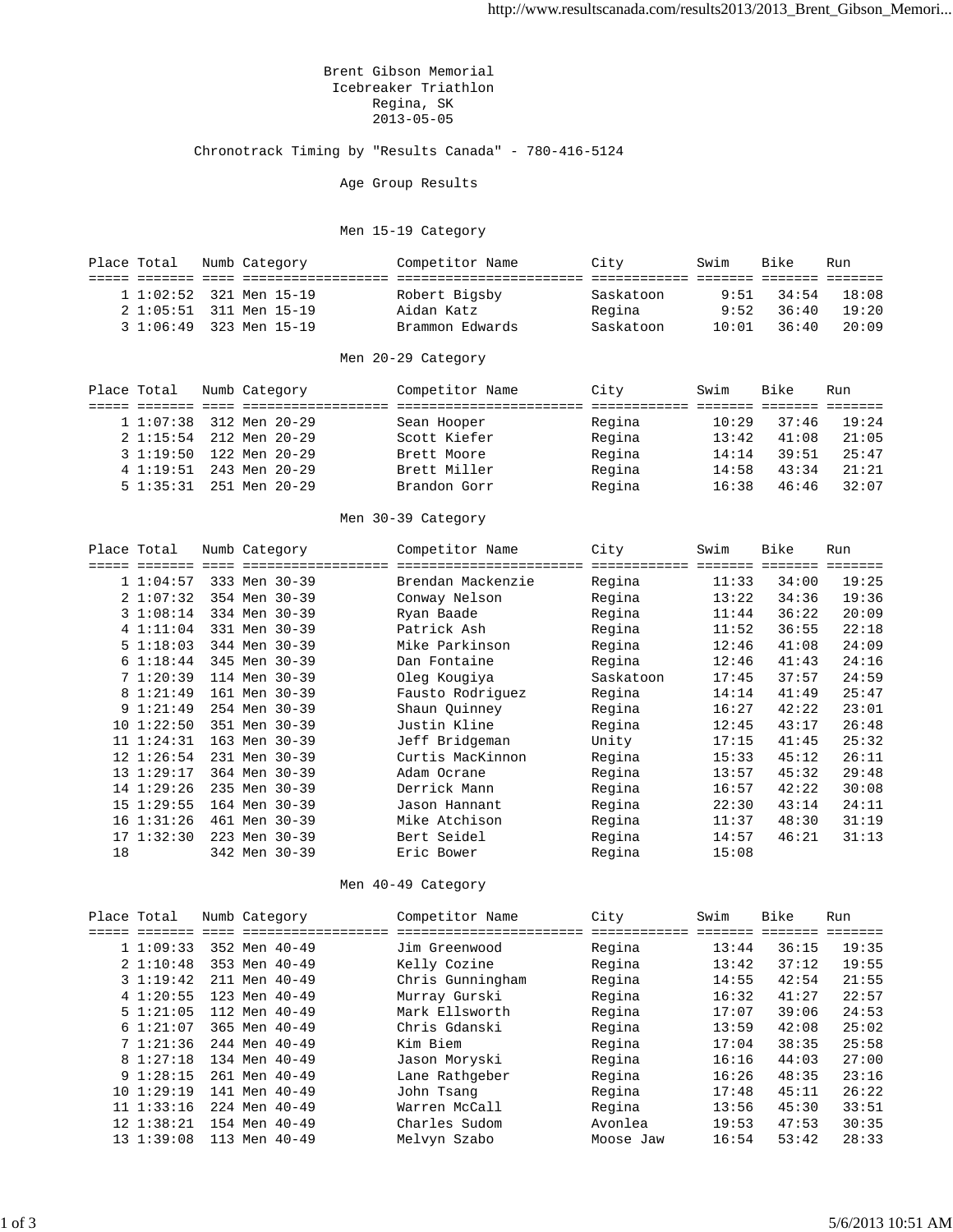Brent Gibson Memorial Icebreaker Triathlon Regina, SK 2013-05-05

Chronotrack Timing by "Results Canada" - 780-416-5124

Age Group Results

## Men 15-19 Category

|  | Place Total             |  | Numb Category | Competitor Name | City      | Swim  | Bike  | Run   |
|--|-------------------------|--|---------------|-----------------|-----------|-------|-------|-------|
|  |                         |  |               |                 |           |       |       |       |
|  | 1 1:02:52 321 Men 15-19 |  |               | Robert Bigsby   | Saskatoon | 9:51  | 34:54 | 18:08 |
|  | 2 1:05:51 311 Men 15-19 |  |               | Aidan Katz      | Regina    | 9:52  | 36:40 | 19:20 |
|  | 3 1:06:49 323 Men 15-19 |  |               | Brammon Edwards | Saskatoon | 10:01 | 36:40 | 20:09 |

## Men 20-29 Category

| Place Total |           | Numb Category           | Competitor Name | City   | Swim  | Bike  | Run   |
|-------------|-----------|-------------------------|-----------------|--------|-------|-------|-------|
|             |           |                         |                 |        |       |       |       |
|             |           | 1 1:07:38 312 Men 20-29 | Sean Hooper     | Regina | 10:29 | 37:46 | 19:24 |
|             |           | 2 1:15:54 212 Men 20-29 | Scott Kiefer    | Regina | 13:42 | 41:08 | 21:05 |
|             |           | 3 1:19:50 122 Men 20-29 | Brett Moore     | Regina | 14:14 | 39:51 | 25:47 |
|             | 4 1:19:51 | 243 Men 20-29           | Brett Miller    | Regina | 14:58 | 43:34 | 21:21 |
|             |           | 5 1:35:31 251 Men 20-29 | Brandon Gorr    | Regina | 16:38 | 46:46 | 32:07 |

## Men 30-39 Category

| Place Total |                 |     | Numb Category | Competitor Name   | City      | Swim  | Bike  | Run   |
|-------------|-----------------|-----|---------------|-------------------|-----------|-------|-------|-------|
|             |                 |     |               |                   |           |       |       | ----- |
|             | 1 1:04:57       |     | 333 Men 30-39 | Brendan Mackenzie | Regina    | 11:33 | 34:00 | 19:25 |
|             | 21:07:32        |     | 354 Men 30-39 | Conway Nelson     | Regina    | 13:22 | 34:36 | 19:36 |
|             | 31:08:14        |     | 334 Men 30-39 | Ryan Baade        | Regina    | 11:44 | 36:22 | 20:09 |
|             | 4 1:11:04       |     | 331 Men 30-39 | Patrick Ash       | Regina    | 11:52 | 36:55 | 22:18 |
|             | 51:18:03        |     | 344 Men 30-39 | Mike Parkinson    | Regina    | 12:46 | 41:08 | 24:09 |
|             | 61:18:44        |     | 345 Men 30-39 | Dan Fontaine      | Regina    | 12:46 | 41:43 | 24:16 |
|             | 71:20:39        |     | 114 Men 30-39 | Oleg Kougiya      | Saskatoon | 17:45 | 37:57 | 24:59 |
|             | 8 1:21:49       |     | 161 Men 30-39 | Fausto Rodriguez  | Regina    | 14:14 | 41:49 | 25:47 |
|             | 91:21:49        |     | 254 Men 30-39 | Shaun Quinney     | Regina    | 16:27 | 42:22 | 23:01 |
|             | 101:22:50       |     | 351 Men 30-39 | Justin Kline      | Regina    | 12:45 | 43:17 | 26:48 |
|             | 11 1:24:31      | 163 | Men 30-39     | Jeff Bridgeman    | Unity     | 17:15 | 41:45 | 25:32 |
|             | $12 \; 1:26:54$ |     | 231 Men 30-39 | Curtis MacKinnon  | Regina    | 15:33 | 45:12 | 26:11 |
|             | 13 1:29:17      |     | 364 Men 30-39 | Adam Ocrane       | Regina    | 13:57 | 45:32 | 29:48 |
|             | 14 1:29:26      |     | 235 Men 30-39 | Derrick Mann      | Regina    | 16:57 | 42:22 | 30:08 |
|             | 151:29:55       |     | 164 Men 30-39 | Jason Hannant     | Regina    | 22:30 | 43:14 | 24:11 |
|             | $16$ $1:31:26$  |     | 461 Men 30-39 | Mike Atchison     | Regina    | 11:37 | 48:30 | 31:19 |
|             | 171:32:30       |     | 223 Men 30-39 | Bert Seidel       | Regina    | 14:57 | 46:21 | 31:13 |
| 18          |                 |     | 342 Men 30-39 | Eric Bower        | Regina    | 15:08 |       |       |

Men 40-49 Category

| Place Total |                |     | Numb Category | Competitor Name  | City      | Swim  | Bike  | Run   |
|-------------|----------------|-----|---------------|------------------|-----------|-------|-------|-------|
|             |                |     |               |                  |           |       |       |       |
|             | 11:09:33       |     | 352 Men 40-49 | Jim Greenwood    | Regina    | 13:44 | 36:15 | 19:35 |
|             | 21:10:48       |     | 353 Men 40-49 | Kelly Cozine     | Regina    | 13:42 | 37:12 | 19:55 |
|             | 31:19:42       |     | 211 Men 40-49 | Chris Gunningham | Regina    | 14:55 | 42:54 | 21:55 |
|             | 41:20:55       |     | 123 Men 40-49 | Murray Gurski    | Regina    | 16:32 | 41:27 | 22:57 |
|             | $5 \t1:21:05$  |     | 112 Men 40-49 | Mark Ellsworth   | Regina    | 17:07 | 39:06 | 24:53 |
|             | 61:21:07       |     | 365 Men 40-49 | Chris Gdanski    | Regina    | 13:59 | 42:08 | 25:02 |
|             | 71:21:36       |     | 244 Men 40-49 | Kim Biem         | Regina    | 17:04 | 38:35 | 25:58 |
|             | 8 1:27:18      |     | 134 Men 40-49 | Jason Moryski    | Regina    | 16:16 | 44:03 | 27:00 |
|             | 91:28:15       |     | 261 Men 40-49 | Lane Rathgeber   | Regina    | 16:26 | 48:35 | 23:16 |
|             | 101:29:19      |     | 141 Men 40-49 | John Tsang       | Regina    | 17:48 | 45:11 | 26:22 |
|             | 11 1:33:16     |     | 224 Men 40-49 | Warren McCall    | Regina    | 13:56 | 45:30 | 33:51 |
|             | $12$ $1:38:21$ |     | 154 Men 40-49 | Charles Sudom    | Avonlea   | 19:53 | 47:53 | 30:35 |
|             | 131:39:08      | 113 | Men 40-49     | Melvyn Szabo     | Moose Jaw | 16:54 | 53:42 | 28:33 |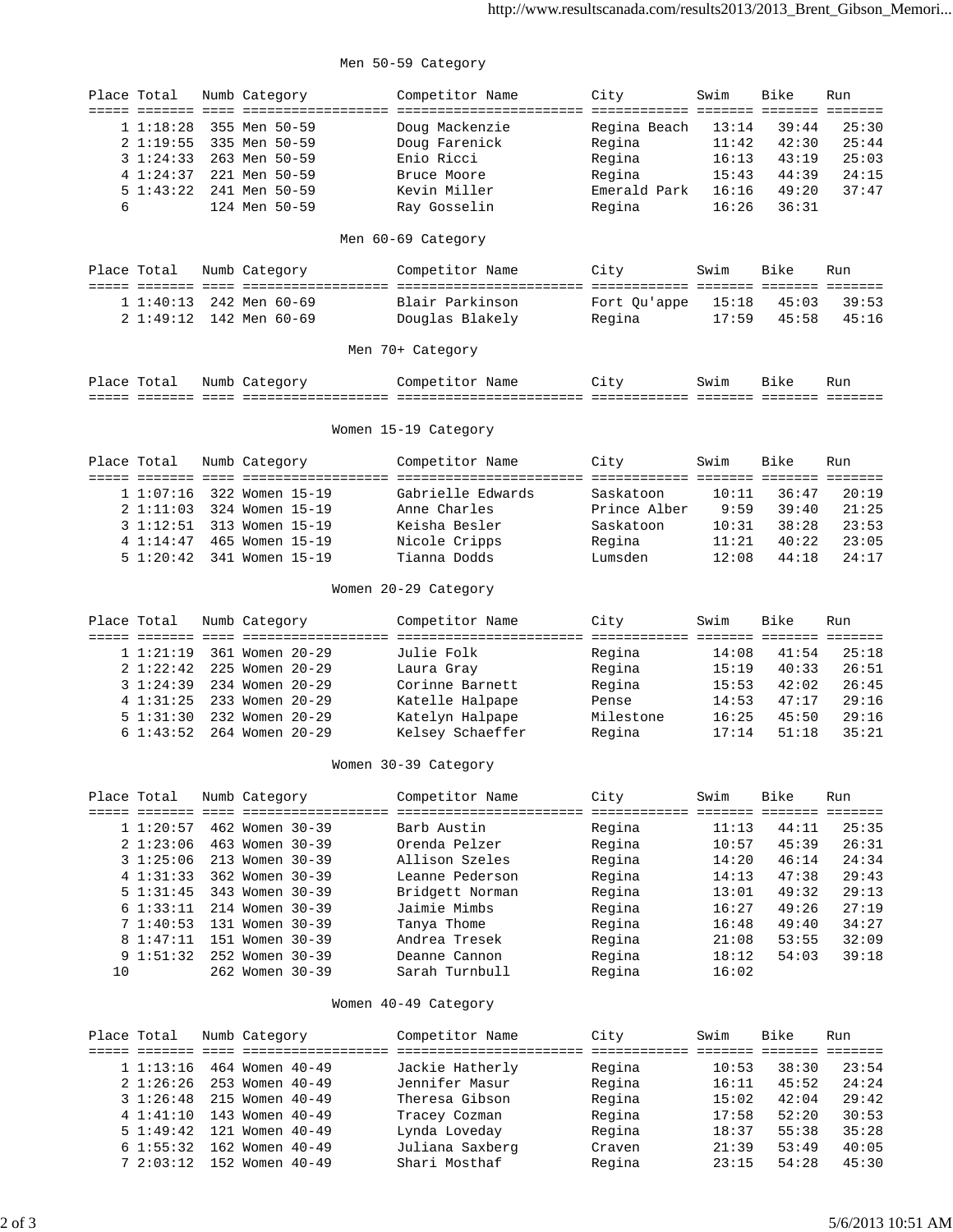## Men 50-59 Category

| Place Total<br>6 | ===== ======= ====<br>1 1:18:28<br>21:19:55<br>31:24:33<br>4 1:24:37<br>51:43:22 |  | Numb Category<br>355 Men 50-59<br>335 Men 50-59<br>263 Men 50-59<br>221 Men 50-59<br>241 Men 50-59<br>124 Men 50-59 | Competitor Name<br>Doug Mackenzie<br>Doug Farenick<br>Enio Ricci<br>Bruce Moore<br>Kevin Miller<br>Ray Gosselin<br>Men 60-69 Category | City<br>Regina Beach<br>Regina<br>Regina<br>Regina<br>Emerald Park<br>Regina | Swim<br>13:14<br>11:42<br>16:13<br>15:43<br>16:16<br>16:26 | Bike<br>39:44<br>42:30<br>43:19<br>44:39<br>49:20<br>36:31 | Run<br>25:30<br>25:44<br>25:03<br>24:15<br>37:47 |  |  |  |
|------------------|----------------------------------------------------------------------------------|--|---------------------------------------------------------------------------------------------------------------------|---------------------------------------------------------------------------------------------------------------------------------------|------------------------------------------------------------------------------|------------------------------------------------------------|------------------------------------------------------------|--------------------------------------------------|--|--|--|
| Place Total      |                                                                                  |  | Numb Category                                                                                                       | Competitor Name                                                                                                                       | City                                                                         | Swim                                                       | Bike                                                       | Run                                              |  |  |  |
|                  | 1 1:40:13                                                                        |  | 242 Men 60-69                                                                                                       | Blair Parkinson                                                                                                                       | Fort Qu'appe                                                                 | 15:18                                                      | 45:03                                                      | 39:53                                            |  |  |  |
|                  | 2 1:49:12                                                                        |  | 142 Men 60-69                                                                                                       | Douglas Blakely                                                                                                                       | Regina                                                                       | 17:59                                                      | 45:58                                                      | 45:16                                            |  |  |  |
|                  | Men 70+ Category                                                                 |  |                                                                                                                     |                                                                                                                                       |                                                                              |                                                            |                                                            |                                                  |  |  |  |
|                  | Place Total                                                                      |  | Numb Category                                                                                                       | Competitor Name                                                                                                                       | City                                                                         | Swim                                                       | Bike                                                       | Run                                              |  |  |  |
|                  |                                                                                  |  |                                                                                                                     |                                                                                                                                       |                                                                              |                                                            |                                                            |                                                  |  |  |  |
|                  | Women 15-19 Category                                                             |  |                                                                                                                     |                                                                                                                                       |                                                                              |                                                            |                                                            |                                                  |  |  |  |
| Place Total      |                                                                                  |  | Numb Category                                                                                                       | Competitor Name                                                                                                                       | City                                                                         | Swim                                                       | Bike                                                       | Run                                              |  |  |  |
|                  | 11:07:16                                                                         |  | 322 Women 15-19                                                                                                     | Gabrielle Edwards                                                                                                                     | Saskatoon                                                                    | 10:11                                                      | 36:47                                                      | 20:19                                            |  |  |  |
|                  | 21:11:03                                                                         |  | 324 Women 15-19                                                                                                     | Anne Charles                                                                                                                          | Prince Alber                                                                 | 9:59                                                       | 39:40                                                      | 21:25                                            |  |  |  |
|                  | 31:12:51                                                                         |  | 313 Women 15-19                                                                                                     | Keisha Besler                                                                                                                         | Saskatoon                                                                    | 10:31                                                      | 38:28                                                      | 23:53                                            |  |  |  |
|                  | 4 1:14:47                                                                        |  | 465 Women 15-19                                                                                                     | Nicole Cripps                                                                                                                         | Regina                                                                       | 11:21                                                      | 40:22                                                      | 23:05                                            |  |  |  |
|                  | 51:20:42                                                                         |  | 341 Women 15-19                                                                                                     | Tianna Dodds                                                                                                                          | Lumsden                                                                      | 12:08                                                      | 44:18                                                      | 24:17                                            |  |  |  |
|                  |                                                                                  |  |                                                                                                                     | Women 20-29 Category                                                                                                                  |                                                                              |                                                            |                                                            |                                                  |  |  |  |
| Place Total      |                                                                                  |  | Numb Category                                                                                                       | Competitor Name                                                                                                                       | City                                                                         | Swim                                                       | Bike                                                       | Run                                              |  |  |  |
|                  |                                                                                  |  |                                                                                                                     |                                                                                                                                       |                                                                              |                                                            |                                                            |                                                  |  |  |  |
|                  | 1 1:21:19                                                                        |  | 361 Women 20-29                                                                                                     | Julie Folk                                                                                                                            | Regina                                                                       | 14:08                                                      | 41:54                                                      | 25:18                                            |  |  |  |
|                  | 2 1:22:42                                                                        |  | 225 Women 20-29                                                                                                     | Laura Gray                                                                                                                            | Regina                                                                       | 15:19                                                      | 40:33                                                      | 26:51                                            |  |  |  |
|                  | 31:24:39                                                                         |  | 234 Women 20-29                                                                                                     | Corinne Barnett                                                                                                                       | Regina                                                                       | 15:53                                                      | 42:02                                                      | 26:45                                            |  |  |  |
|                  | 4 1:31:25                                                                        |  | 233 Women 20-29                                                                                                     | Katelle Halpape                                                                                                                       | Pense                                                                        | 14:53                                                      | 47:17                                                      | 29:16                                            |  |  |  |
|                  | 51:31:30                                                                         |  | 232 Women 20-29                                                                                                     | Katelyn Halpape                                                                                                                       | Milestone                                                                    | 16:25                                                      | 45:50                                                      | 29:16                                            |  |  |  |
|                  | 61:43:52                                                                         |  | 264 Women 20-29                                                                                                     | Kelsey Schaeffer                                                                                                                      | Regina                                                                       | 17:14                                                      | 51:18                                                      | 35:21                                            |  |  |  |
|                  |                                                                                  |  |                                                                                                                     | Women 30-39 Category                                                                                                                  |                                                                              |                                                            |                                                            |                                                  |  |  |  |
| Place Total      |                                                                                  |  | Numb Category                                                                                                       | Competitor Name                                                                                                                       | City                                                                         | Swim                                                       | Bike                                                       | Run                                              |  |  |  |
|                  |                                                                                  |  |                                                                                                                     |                                                                                                                                       | ============= ======= ======= =======                                        |                                                            |                                                            |                                                  |  |  |  |
|                  | 1 1:20:57                                                                        |  | 462 Women 30-39                                                                                                     | Barb Austin                                                                                                                           | Regina                                                                       | 11:13                                                      | 44:11                                                      | 25:35                                            |  |  |  |
|                  | 21:23:06                                                                         |  | 463 Women 30-39                                                                                                     | Orenda Pelzer                                                                                                                         | Regina                                                                       | 10:57                                                      | 45:39                                                      | 26:31                                            |  |  |  |
|                  | 31:25:06                                                                         |  | 213 Women 30-39                                                                                                     | Allison Szeles                                                                                                                        | Regina                                                                       | 14:20                                                      | 46:14                                                      | 24:34                                            |  |  |  |
|                  | 4 1:31:33                                                                        |  | 362 Women 30-39                                                                                                     | Leanne Pederson                                                                                                                       | Regina                                                                       | 14:13                                                      | 47:38                                                      | 29:43                                            |  |  |  |
|                  | 5 1:31:45                                                                        |  | 343 Women 30-39                                                                                                     | Bridgett Norman                                                                                                                       | Regina                                                                       | 13:01                                                      | 49:32                                                      | 29:13                                            |  |  |  |
|                  | 6 1:33:11                                                                        |  | 214 Women 30-39                                                                                                     | Jaimie Mimbs                                                                                                                          | Regina                                                                       | 16:27                                                      | 49:26                                                      | 27:19                                            |  |  |  |
|                  | 71:40:53                                                                         |  | 131 Women 30-39                                                                                                     | Tanya Thome                                                                                                                           | Regina                                                                       | 16:48                                                      | 49:40                                                      | 34:27                                            |  |  |  |
| 8                | 1:47:11                                                                          |  | 151 Women 30-39                                                                                                     | Andrea Tresek                                                                                                                         | Regina                                                                       | 21:08                                                      | 53:55                                                      | 32:09                                            |  |  |  |
|                  | 91:51:32                                                                         |  | 252 Women 30-39<br>262 Women 30-39                                                                                  | Deanne Cannon<br>Sarah Turnbull                                                                                                       | Regina                                                                       | 18:12                                                      | 54:03                                                      | 39:18                                            |  |  |  |
| 10               |                                                                                  |  |                                                                                                                     |                                                                                                                                       | Regina                                                                       | 16:02                                                      |                                                            |                                                  |  |  |  |

Women 40-49 Category

| Place Total |                           | Numb Category   | Competitor Name | City   | Swim  | Bike  | Run   |
|-------------|---------------------------|-----------------|-----------------|--------|-------|-------|-------|
|             |                           |                 |                 |        |       |       |       |
|             | $1\;\; 1\; 1\; 3\; 1\; 6$ | 464 Women 40-49 | Jackie Hatherly | Regina | 10:53 | 38:30 | 23:54 |
|             | $2\;1:26:26$              | 253 Women 40-49 | Jennifer Masur  | Regina | 16:11 | 45:52 | 24:24 |
|             | $3 \; 1:26:48$            | 215 Women 40-49 | Theresa Gibson  | Regina | 15:02 | 42:04 | 29:42 |
|             | 4 1:41:10                 | 143 Women 40-49 | Tracey Cozman   | Regina | 17:58 | 52:20 | 30:53 |
|             | $5 \t1:49:42$             | 121 Women 40-49 | Lynda Loveday   | Regina | 18:37 | 55:38 | 35:28 |
|             | 61:55:32                  | 162 Women 40-49 | Juliana Saxberg | Craven | 21:39 | 53:49 | 40:05 |
|             | 7 2:03:12                 | 152 Women 40-49 | Shari Mosthaf   | Regina | 23:15 | 54:28 | 45:30 |